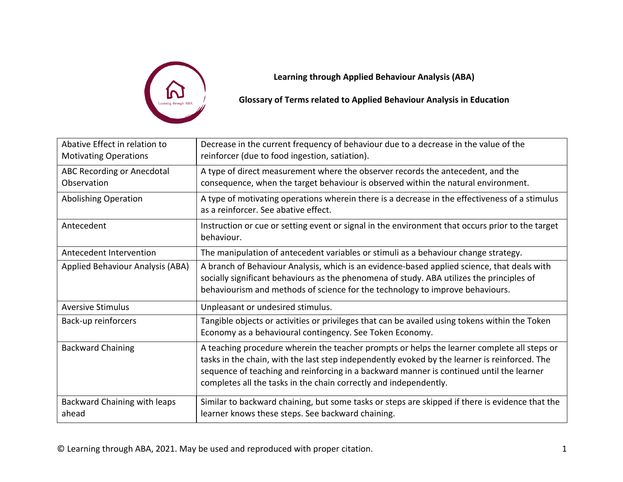

**Learning through Applied Behaviour Analysis (ABA)**

**Glossary of Terms related to Applied Behaviour Analysis in Education**

| Abative Effect in relation to<br><b>Motivating Operations</b> | Decrease in the current frequency of behaviour due to a decrease in the value of the<br>reinforcer (due to food ingestion, satiation).                                                                                                                                                                                                                        |
|---------------------------------------------------------------|---------------------------------------------------------------------------------------------------------------------------------------------------------------------------------------------------------------------------------------------------------------------------------------------------------------------------------------------------------------|
| ABC Recording or Anecdotal<br>Observation                     | A type of direct measurement where the observer records the antecedent, and the<br>consequence, when the target behaviour is observed within the natural environment.                                                                                                                                                                                         |
| <b>Abolishing Operation</b>                                   | A type of motivating operations wherein there is a decrease in the effectiveness of a stimulus<br>as a reinforcer. See abative effect.                                                                                                                                                                                                                        |
| Antecedent                                                    | Instruction or cue or setting event or signal in the environment that occurs prior to the target<br>behaviour.                                                                                                                                                                                                                                                |
| Antecedent Intervention                                       | The manipulation of antecedent variables or stimuli as a behaviour change strategy.                                                                                                                                                                                                                                                                           |
| Applied Behaviour Analysis (ABA)                              | A branch of Behaviour Analysis, which is an evidence-based applied science, that deals with<br>socially significant behaviours as the phenomena of study. ABA utilizes the principles of<br>behaviourism and methods of science for the technology to improve behaviours.                                                                                     |
| <b>Aversive Stimulus</b>                                      | Unpleasant or undesired stimulus.                                                                                                                                                                                                                                                                                                                             |
| Back-up reinforcers                                           | Tangible objects or activities or privileges that can be availed using tokens within the Token<br>Economy as a behavioural contingency. See Token Economy.                                                                                                                                                                                                    |
| <b>Backward Chaining</b>                                      | A teaching procedure wherein the teacher prompts or helps the learner complete all steps or<br>tasks in the chain, with the last step independently evoked by the learner is reinforced. The<br>sequence of teaching and reinforcing in a backward manner is continued until the learner<br>completes all the tasks in the chain correctly and independently. |
| Backward Chaining with leaps<br>ahead                         | Similar to backward chaining, but some tasks or steps are skipped if there is evidence that the<br>learner knows these steps. See backward chaining.                                                                                                                                                                                                          |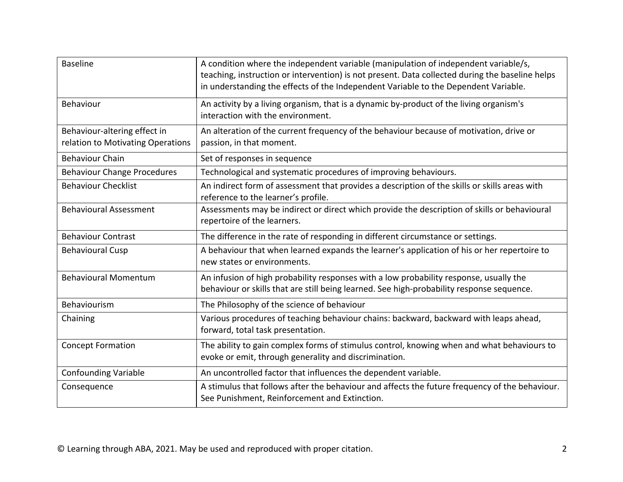| <b>Baseline</b>                                                   | A condition where the independent variable (manipulation of independent variable/s,<br>teaching, instruction or intervention) is not present. Data collected during the baseline helps<br>in understanding the effects of the Independent Variable to the Dependent Variable. |
|-------------------------------------------------------------------|-------------------------------------------------------------------------------------------------------------------------------------------------------------------------------------------------------------------------------------------------------------------------------|
| <b>Behaviour</b>                                                  | An activity by a living organism, that is a dynamic by-product of the living organism's<br>interaction with the environment.                                                                                                                                                  |
| Behaviour-altering effect in<br>relation to Motivating Operations | An alteration of the current frequency of the behaviour because of motivation, drive or<br>passion, in that moment.                                                                                                                                                           |
| <b>Behaviour Chain</b>                                            | Set of responses in sequence                                                                                                                                                                                                                                                  |
| <b>Behaviour Change Procedures</b>                                | Technological and systematic procedures of improving behaviours.                                                                                                                                                                                                              |
| <b>Behaviour Checklist</b>                                        | An indirect form of assessment that provides a description of the skills or skills areas with<br>reference to the learner's profile.                                                                                                                                          |
| <b>Behavioural Assessment</b>                                     | Assessments may be indirect or direct which provide the description of skills or behavioural<br>repertoire of the learners.                                                                                                                                                   |
| <b>Behaviour Contrast</b>                                         | The difference in the rate of responding in different circumstance or settings.                                                                                                                                                                                               |
| <b>Behavioural Cusp</b>                                           | A behaviour that when learned expands the learner's application of his or her repertoire to<br>new states or environments.                                                                                                                                                    |
| <b>Behavioural Momentum</b>                                       | An infusion of high probability responses with a low probability response, usually the<br>behaviour or skills that are still being learned. See high-probability response sequence.                                                                                           |
| Behaviourism                                                      | The Philosophy of the science of behaviour                                                                                                                                                                                                                                    |
| Chaining                                                          | Various procedures of teaching behaviour chains: backward, backward with leaps ahead,<br>forward, total task presentation.                                                                                                                                                    |
| <b>Concept Formation</b>                                          | The ability to gain complex forms of stimulus control, knowing when and what behaviours to<br>evoke or emit, through generality and discrimination.                                                                                                                           |
| <b>Confounding Variable</b>                                       | An uncontrolled factor that influences the dependent variable.                                                                                                                                                                                                                |
| Consequence                                                       | A stimulus that follows after the behaviour and affects the future frequency of the behaviour.<br>See Punishment, Reinforcement and Extinction.                                                                                                                               |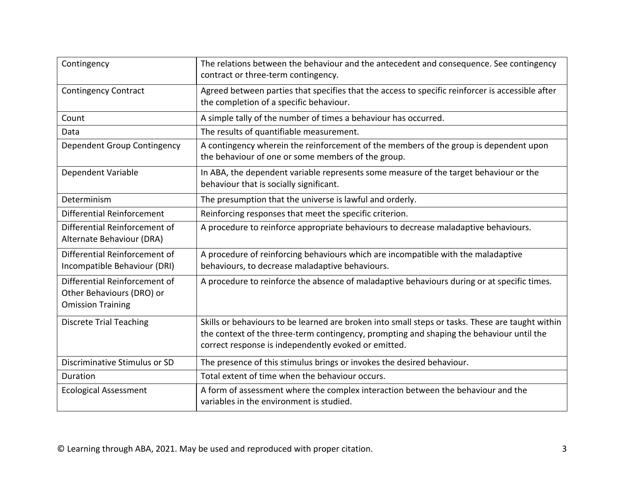| Contingency                                                                            | The relations between the behaviour and the antecedent and consequence. See contingency<br>contract or three-term contingency.                                                                                                                       |
|----------------------------------------------------------------------------------------|------------------------------------------------------------------------------------------------------------------------------------------------------------------------------------------------------------------------------------------------------|
| <b>Contingency Contract</b>                                                            | Agreed between parties that specifies that the access to specific reinforcer is accessible after<br>the completion of a specific behaviour.                                                                                                          |
| Count                                                                                  | A simple tally of the number of times a behaviour has occurred.                                                                                                                                                                                      |
| Data                                                                                   | The results of quantifiable measurement.                                                                                                                                                                                                             |
| Dependent Group Contingency                                                            | A contingency wherein the reinforcement of the members of the group is dependent upon<br>the behaviour of one or some members of the group.                                                                                                          |
| Dependent Variable                                                                     | In ABA, the dependent variable represents some measure of the target behaviour or the<br>behaviour that is socially significant.                                                                                                                     |
| Determinism                                                                            | The presumption that the universe is lawful and orderly.                                                                                                                                                                                             |
| Differential Reinforcement                                                             | Reinforcing responses that meet the specific criterion.                                                                                                                                                                                              |
| Differential Reinforcement of<br>Alternate Behaviour (DRA)                             | A procedure to reinforce appropriate behaviours to decrease maladaptive behaviours.                                                                                                                                                                  |
| Differential Reinforcement of<br>Incompatible Behaviour (DRI)                          | A procedure of reinforcing behaviours which are incompatible with the maladaptive<br>behaviours, to decrease maladaptive behaviours.                                                                                                                 |
| Differential Reinforcement of<br>Other Behaviours (DRO) or<br><b>Omission Training</b> | A procedure to reinforce the absence of maladaptive behaviours during or at specific times.                                                                                                                                                          |
| <b>Discrete Trial Teaching</b>                                                         | Skills or behaviours to be learned are broken into small steps or tasks. These are taught within<br>the context of the three-term contingency, prompting and shaping the behaviour until the<br>correct response is independently evoked or emitted. |
| Discriminative Stimulus or SD                                                          | The presence of this stimulus brings or invokes the desired behaviour.                                                                                                                                                                               |
| Duration                                                                               | Total extent of time when the behaviour occurs.                                                                                                                                                                                                      |
| <b>Ecological Assessment</b>                                                           | A form of assessment where the complex interaction between the behaviour and the<br>variables in the environment is studied.                                                                                                                         |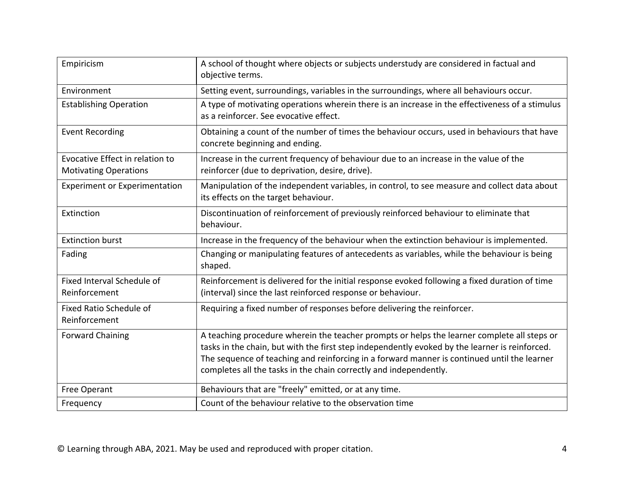| Empiricism                                                      | A school of thought where objects or subjects understudy are considered in factual and<br>objective terms.                                                                                                                                                                                                                                                        |
|-----------------------------------------------------------------|-------------------------------------------------------------------------------------------------------------------------------------------------------------------------------------------------------------------------------------------------------------------------------------------------------------------------------------------------------------------|
| Environment                                                     | Setting event, surroundings, variables in the surroundings, where all behaviours occur.                                                                                                                                                                                                                                                                           |
| <b>Establishing Operation</b>                                   | A type of motivating operations wherein there is an increase in the effectiveness of a stimulus<br>as a reinforcer. See evocative effect.                                                                                                                                                                                                                         |
| <b>Event Recording</b>                                          | Obtaining a count of the number of times the behaviour occurs, used in behaviours that have<br>concrete beginning and ending.                                                                                                                                                                                                                                     |
| Evocative Effect in relation to<br><b>Motivating Operations</b> | Increase in the current frequency of behaviour due to an increase in the value of the<br>reinforcer (due to deprivation, desire, drive).                                                                                                                                                                                                                          |
| <b>Experiment or Experimentation</b>                            | Manipulation of the independent variables, in control, to see measure and collect data about<br>its effects on the target behaviour.                                                                                                                                                                                                                              |
| Extinction                                                      | Discontinuation of reinforcement of previously reinforced behaviour to eliminate that<br>behaviour.                                                                                                                                                                                                                                                               |
| <b>Extinction burst</b>                                         | Increase in the frequency of the behaviour when the extinction behaviour is implemented.                                                                                                                                                                                                                                                                          |
| Fading                                                          | Changing or manipulating features of antecedents as variables, while the behaviour is being<br>shaped.                                                                                                                                                                                                                                                            |
| Fixed Interval Schedule of<br>Reinforcement                     | Reinforcement is delivered for the initial response evoked following a fixed duration of time<br>(interval) since the last reinforced response or behaviour.                                                                                                                                                                                                      |
| Fixed Ratio Schedule of<br>Reinforcement                        | Requiring a fixed number of responses before delivering the reinforcer.                                                                                                                                                                                                                                                                                           |
| <b>Forward Chaining</b>                                         | A teaching procedure wherein the teacher prompts or helps the learner complete all steps or<br>tasks in the chain, but with the first step independently evoked by the learner is reinforced.<br>The sequence of teaching and reinforcing in a forward manner is continued until the learner<br>completes all the tasks in the chain correctly and independently. |
| Free Operant                                                    | Behaviours that are "freely" emitted, or at any time.                                                                                                                                                                                                                                                                                                             |
| Frequency                                                       | Count of the behaviour relative to the observation time                                                                                                                                                                                                                                                                                                           |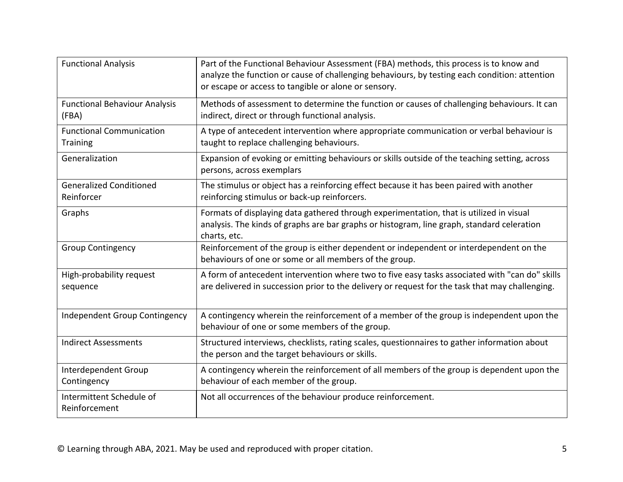| <b>Functional Analysis</b>                         | Part of the Functional Behaviour Assessment (FBA) methods, this process is to know and<br>analyze the function or cause of challenging behaviours, by testing each condition: attention<br>or escape or access to tangible or alone or sensory. |
|----------------------------------------------------|-------------------------------------------------------------------------------------------------------------------------------------------------------------------------------------------------------------------------------------------------|
| <b>Functional Behaviour Analysis</b><br>(FBA)      | Methods of assessment to determine the function or causes of challenging behaviours. It can<br>indirect, direct or through functional analysis.                                                                                                 |
| <b>Functional Communication</b><br><b>Training</b> | A type of antecedent intervention where appropriate communication or verbal behaviour is<br>taught to replace challenging behaviours.                                                                                                           |
| Generalization                                     | Expansion of evoking or emitting behaviours or skills outside of the teaching setting, across<br>persons, across exemplars                                                                                                                      |
| <b>Generalized Conditioned</b><br>Reinforcer       | The stimulus or object has a reinforcing effect because it has been paired with another<br>reinforcing stimulus or back-up reinforcers.                                                                                                         |
| Graphs                                             | Formats of displaying data gathered through experimentation, that is utilized in visual<br>analysis. The kinds of graphs are bar graphs or histogram, line graph, standard celeration<br>charts, etc.                                           |
| <b>Group Contingency</b>                           | Reinforcement of the group is either dependent or independent or interdependent on the<br>behaviours of one or some or all members of the group.                                                                                                |
| High-probability request<br>sequence               | A form of antecedent intervention where two to five easy tasks associated with "can do" skills<br>are delivered in succession prior to the delivery or request for the task that may challenging.                                               |
| Independent Group Contingency                      | A contingency wherein the reinforcement of a member of the group is independent upon the<br>behaviour of one or some members of the group.                                                                                                      |
| <b>Indirect Assessments</b>                        | Structured interviews, checklists, rating scales, questionnaires to gather information about<br>the person and the target behaviours or skills.                                                                                                 |
| Interdependent Group<br>Contingency                | A contingency wherein the reinforcement of all members of the group is dependent upon the<br>behaviour of each member of the group.                                                                                                             |
| Intermittent Schedule of<br>Reinforcement          | Not all occurrences of the behaviour produce reinforcement.                                                                                                                                                                                     |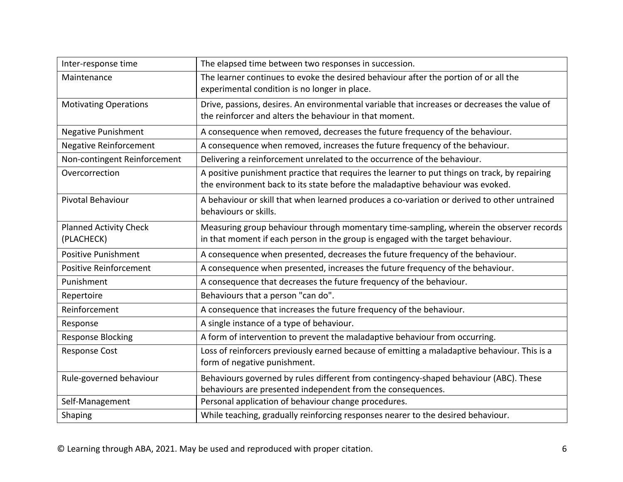| Inter-response time                         | The elapsed time between two responses in succession.                                                                                                                           |
|---------------------------------------------|---------------------------------------------------------------------------------------------------------------------------------------------------------------------------------|
| Maintenance                                 | The learner continues to evoke the desired behaviour after the portion of or all the<br>experimental condition is no longer in place.                                           |
| <b>Motivating Operations</b>                | Drive, passions, desires. An environmental variable that increases or decreases the value of<br>the reinforcer and alters the behaviour in that moment.                         |
| <b>Negative Punishment</b>                  | A consequence when removed, decreases the future frequency of the behaviour.                                                                                                    |
| <b>Negative Reinforcement</b>               | A consequence when removed, increases the future frequency of the behaviour.                                                                                                    |
| Non-contingent Reinforcement                | Delivering a reinforcement unrelated to the occurrence of the behaviour.                                                                                                        |
| Overcorrection                              | A positive punishment practice that requires the learner to put things on track, by repairing<br>the environment back to its state before the maladaptive behaviour was evoked. |
| Pivotal Behaviour                           | A behaviour or skill that when learned produces a co-variation or derived to other untrained<br>behaviours or skills.                                                           |
| <b>Planned Activity Check</b><br>(PLACHECK) | Measuring group behaviour through momentary time-sampling, wherein the observer records<br>in that moment if each person in the group is engaged with the target behaviour.     |
| <b>Positive Punishment</b>                  | A consequence when presented, decreases the future frequency of the behaviour.                                                                                                  |
| <b>Positive Reinforcement</b>               | A consequence when presented, increases the future frequency of the behaviour.                                                                                                  |
| Punishment                                  | A consequence that decreases the future frequency of the behaviour.                                                                                                             |
| Repertoire                                  | Behaviours that a person "can do".                                                                                                                                              |
| Reinforcement                               | A consequence that increases the future frequency of the behaviour.                                                                                                             |
| Response                                    | A single instance of a type of behaviour.                                                                                                                                       |
| <b>Response Blocking</b>                    | A form of intervention to prevent the maladaptive behaviour from occurring.                                                                                                     |
| <b>Response Cost</b>                        | Loss of reinforcers previously earned because of emitting a maladaptive behaviour. This is a<br>form of negative punishment.                                                    |
| Rule-governed behaviour                     | Behaviours governed by rules different from contingency-shaped behaviour (ABC). These<br>behaviours are presented independent from the consequences.                            |
| Self-Management                             | Personal application of behaviour change procedures.                                                                                                                            |
| Shaping                                     | While teaching, gradually reinforcing responses nearer to the desired behaviour.                                                                                                |